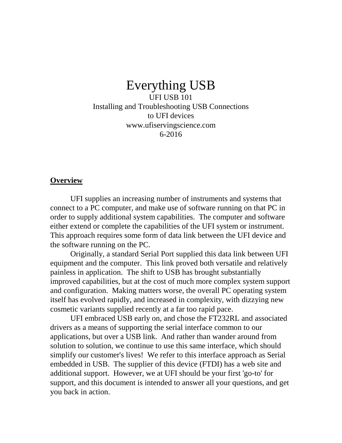# Everything USB

UFI USB 101 Installing and Troubleshooting USB Connections to UFI devices www.ufiservingscience.com 6-2016

#### **Overview**

UFI supplies an increasing number of instruments and systems that connect to a PC computer, and make use of software running on that PC in order to supply additional system capabilities. The computer and software either extend or complete the capabilities of the UFI system or instrument. This approach requires some form of data link between the UFI device and the software running on the PC.

Originally, a standard Serial Port supplied this data link between UFI equipment and the computer. This link proved both versatile and relatively painless in application. The shift to USB has brought substantially improved capabilities, but at the cost of much more complex system support and configuration. Making matters worse, the overall PC operating system itself has evolved rapidly, and increased in complexity, with dizzying new cosmetic variants supplied recently at a far too rapid pace.

UFI embraced USB early on, and chose the FT232RL and associated drivers as a means of supporting the serial interface common to our applications, but over a USB link. And rather than wander around from solution to solution, we continue to use this same interface, which should simplify our customer's lives! We refer to this interface approach as Serial embedded in USB. The supplier of this device (FTDI) has a web site and additional support. However, we at UFI should be your first 'go-to' for support, and this document is intended to answer all your questions, and get you back in action.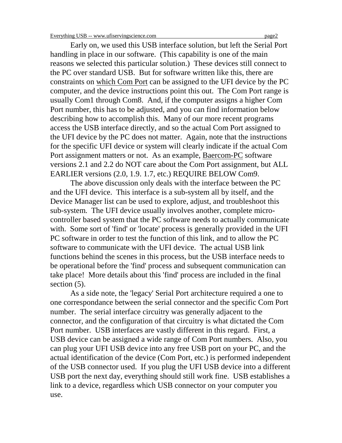Early on, we used this USB interface solution, but left the Serial Port handling in place in our software. (This capability is one of the main reasons we selected this particular solution.) These devices still connect to the PC over standard USB. But for software written like this, there are constraints on which Com Port can be assigned to the UFI device by the PC computer, and the device instructions point this out. The Com Port range is usually Com1 through Com8. And, if the computer assigns a higher Com Port number, this has to be adjusted, and you can find information below describing how to accomplish this. Many of our more recent programs access the USB interface directly, and so the actual Com Port assigned to the UFI device by the PC does not matter. Again, note that the instructions for the specific UFI device or system will clearly indicate if the actual Com Port assignment matters or not. As an example, Baercom-PC software versions 2.1 and 2.2 do NOT care about the Com Port assignment, but ALL EARLIER versions (2.0, 1.9. 1.7, etc.) REQUIRE BELOW Com9.

The above discussion only deals with the interface between the PC and the UFI device. This interface is a sub-system all by itself, and the Device Manager list can be used to explore, adjust, and troubleshoot this sub-system. The UFI device usually involves another, complete microcontroller based system that the PC software needs to actually communicate with. Some sort of 'find' or 'locate' process is generally provided in the UFI PC software in order to test the function of this link, and to allow the PC software to communicate with the UFI device. The actual USB link functions behind the scenes in this process, but the USB interface needs to be operational before the 'find' process and subsequent communication can take place! More details about this 'find' process are included in the final section  $(5)$ .

As a side note, the 'legacy' Serial Port architecture required a one to one correspondance between the serial connector and the specific Com Port number. The serial interface circuitry was generally adjacent to the connector, and the configuration of that circuitry is what dictated the Com Port number. USB interfaces are vastly different in this regard. First, a USB device can be assigned a wide range of Com Port numbers. Also, you can plug your UFI USB device into any free USB port on your PC, and the actual identification of the device (Com Port, etc.) is performed independent of the USB connector used. If you plug the UFI USB device into a different USB port the next day, everything should still work fine. USB establishes a link to a device, regardless which USB connector on your computer you use.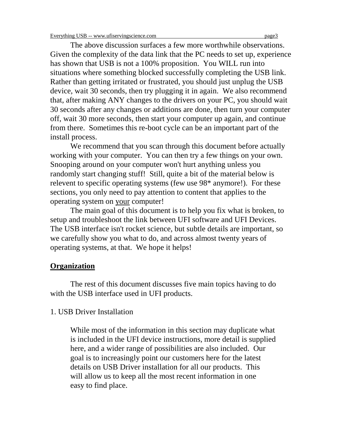The above discussion surfaces a few more worthwhile observations. Given the complexity of the data link that the PC needs to set up, experience has shown that USB is not a 100% proposition. You WILL run into situations where something blocked successfully completing the USB link. Rather than getting irritated or frustrated, you should just unplug the USB device, wait 30 seconds, then try plugging it in again. We also recommend that, after making ANY changes to the drivers on your PC, you should wait 30 seconds after any changes or additions are done, then turn your computer off, wait 30 more seconds, then start your computer up again, and continue from there. Sometimes this re-boot cycle can be an important part of the install process.

We recommend that you scan through this document before actually working with your computer. You can then try a few things on your own. Snooping around on your computer won't hurt anything unless you randomly start changing stuff! Still, quite a bit of the material below is relevent to specific operating systems (few use 98\* anymore!). For these sections, you only need to pay attention to content that applies to the operating system on your computer!

The main goal of this document is to help you fix what is broken, to setup and troubleshoot the link between UFI software and UFI Devices. The USB interface isn't rocket science, but subtle details are important, so we carefully show you what to do, and across almost twenty years of operating systems, at that. We hope it helps!

#### **Organization**

The rest of this document discusses five main topics having to do with the USB interface used in UFI products.

#### 1. USB Driver Installation

While most of the information in this section may duplicate what is included in the UFI device instructions, more detail is supplied here, and a wider range of possibilities are also included. Our goal is to increasingly point our customers here for the latest details on USB Driver installation for all our products. This will allow us to keep all the most recent information in one easy to find place.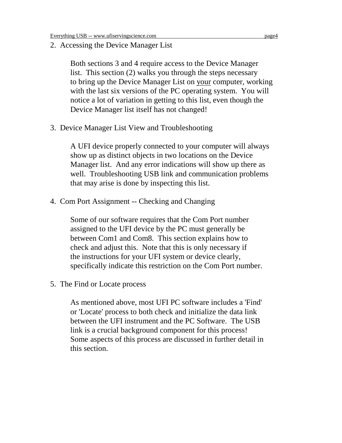2. Accessing the Device Manager List

Both sections 3 and 4 require access to the Device Manager list. This section (2) walks you through the steps necessary to bring up the Device Manager List on your computer, working with the last six versions of the PC operating system. You will notice a lot of variation in getting to this list, even though the Device Manager list itself has not changed!

3. Device Manager List View and Troubleshooting

A UFI device properly connected to your computer will always show up as distinct objects in two locations on the Device Manager list. And any error indications will show up there as well. Troubleshooting USB link and communication problems that may arise is done by inspecting this list.

4. Com Port Assignment -- Checking and Changing

Some of our software requires that the Com Port number assigned to the UFI device by the PC must generally be between Com1 and Com8. This section explains how to check and adjust this. Note that this is only necessary if the instructions for your UFI system or device clearly, specifically indicate this restriction on the Com Port number.

5. The Find or Locate process

As mentioned above, most UFI PC software includes a 'Find' or 'Locate' process to both check and initialize the data link between the UFI instrument and the PC Software. The USB link is a crucial background component for this process! Some aspects of this process are discussed in further detail in this section.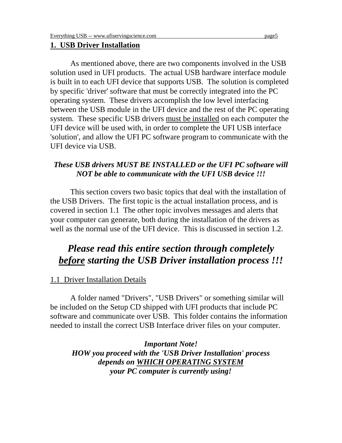#### **1. USB Driver Installation**

As mentioned above, there are two components involved in the USB solution used in UFI products. The actual USB hardware interface module is built in to each UFI device that supports USB. The solution is completed by specific 'driver' software that must be correctly integrated into the PC operating system. These drivers accomplish the low level interfacing between the USB module in the UFI device and the rest of the PC operating system. These specific USB drivers must be installed on each computer the UFI device will be used with, in order to complete the UFI USB interface 'solution', and allow the UFI PC software program to communicate with the UFI device via USB.

#### *These USB drivers MUST BE INSTALLED or the UFI PC software will NOT be able to communicate with the UFI USB device !!!*

This section covers two basic topics that deal with the installation of the USB Drivers. The first topic is the actual installation process, and is covered in section 1.1 The other topic involves messages and alerts that your computer can generate, both during the installation of the drivers as well as the normal use of the UFI device. This is discussed in section 1.2.

# *Please read this entire section through completely before starting the USB Driver installation process !!!*

#### 1.1 Driver Installation Details

A folder named "Drivers", "USB Drivers" or something similar will be included on the Setup CD shipped with UFI products that include PC software and communicate over USB. This folder contains the information needed to install the correct USB Interface driver files on your computer.

*Important Note! HOW you proceed with the 'USB Driver Installation' process depends on WHICH OPERATING SYSTEM your PC computer is currently using!*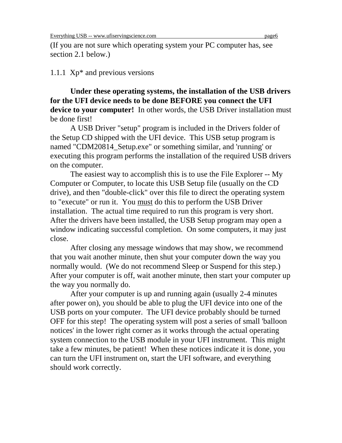(If you are not sure which operating system your PC computer has, see section 2.1 below.)

## 1.1.1 Xp\* and previous versions

**Under these operating systems, the installation of the USB drivers for the UFI device needs to be done BEFORE you connect the UFI device to your computer!** In other words, the USB Driver installation must be done first!

A USB Driver "setup" program is included in the Drivers folder of the Setup CD shipped with the UFI device. This USB setup program is named "CDM20814\_Setup.exe" or something similar, and 'running' or executing this program performs the installation of the required USB drivers on the computer.

The easiest way to accomplish this is to use the File Explorer -- My Computer or Computer, to locate this USB Setup file (usually on the CD drive), and then "double-click" over this file to direct the operating system to "execute" or run it. You must do this to perform the USB Driver installation. The actual time required to run this program is very short. After the drivers have been installed, the USB Setup program may open a window indicating successful completion. On some computers, it may just close.

After closing any message windows that may show, we recommend that you wait another minute, then shut your computer down the way you normally would. (We do not recommend Sleep or Suspend for this step.) After your computer is off, wait another minute, then start your computer up the way you normally do.

After your computer is up and running again (usually 2-4 minutes after power on), you should be able to plug the UFI device into one of the USB ports on your computer. The UFI device probably should be turned OFF for this step! The operating system will post a series of small 'balloon notices' in the lower right corner as it works through the actual operating system connection to the USB module in your UFI instrument. This might take a few minutes, be patient! When these notices indicate it is done, you can turn the UFI instrument on, start the UFI software, and everything should work correctly.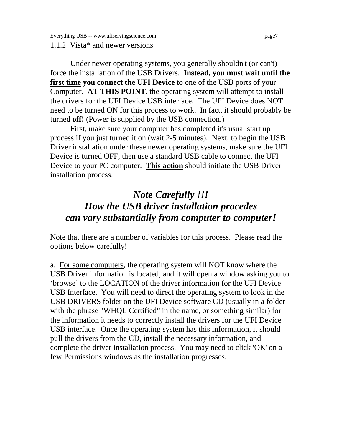#### 1.1.2 Vista\* and newer versions

Under newer operating systems, you generally shouldn't (or can't) force the installation of the USB Drivers. **Instead, you must wait until the first time you connect the UFI Device** to one of the USB ports of your Computer. **AT THIS POINT**, the operating system will attempt to install the drivers for the UFI Device USB interface. The UFI Device does NOT need to be turned ON for this process to work. In fact, it should probably be turned **off!** (Power is supplied by the USB connection.)

First, make sure your computer has completed it's usual start up process if you just turned it on (wait 2-5 minutes). Next, to begin the USB Driver installation under these newer operating systems, make sure the UFI Device is turned OFF, then use a standard USB cable to connect the UFI Device to your PC computer. **This action** should initiate the USB Driver installation process.

# *Note Carefully !!! How the USB driver installation procedes can vary substantially from computer to computer!*

Note that there are a number of variables for this process. Please read the options below carefully!

a. For some computers, the operating system will NOT know where the USB Driver information is located, and it will open a window asking you to 'browse' to the LOCATION of the driver information for the UFI Device USB Interface. You will need to direct the operating system to look in the USB DRIVERS folder on the UFI Device software CD (usually in a folder with the phrase "WHQL Certified" in the name, or something similar) for the information it needs to correctly install the drivers for the UFI Device USB interface. Once the operating system has this information, it should pull the drivers from the CD, install the necessary information, and complete the driver installation process. You may need to click 'OK' on a few Permissions windows as the installation progresses.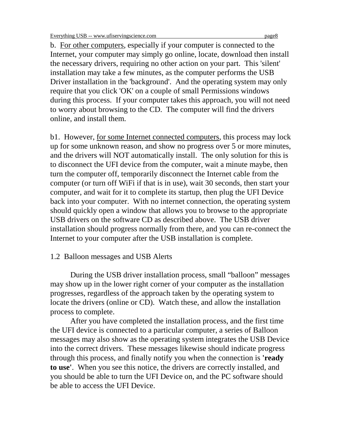b. For other computers, especially if your computer is connected to the Internet, your computer may simply go online, locate, download then install the necessary drivers, requiring no other action on your part. This 'silent' installation may take a few minutes, as the computer performs the USB Driver installation in the 'background'. And the operating system may only require that you click 'OK' on a couple of small Permissions windows during this process. If your computer takes this approach, you will not need to worry about browsing to the CD. The computer will find the drivers online, and install them.

b1. However, for some Internet connected computers, this process may lock up for some unknown reason, and show no progress over 5 or more minutes, and the drivers will NOT automatically install. The only solution for this is to disconnect the UFI device from the computer, wait a minute maybe, then turn the computer off, temporarily disconnect the Internet cable from the computer (or turn off WiFi if that is in use), wait 30 seconds, then start your computer, and wait for it to complete its startup, then plug the UFI Device back into your computer. With no internet connection, the operating system should quickly open a window that allows you to browse to the appropriate USB drivers on the software CD as described above. The USB driver installation should progress normally from there, and you can re-connect the Internet to your computer after the USB installation is complete.

## 1.2 Balloon messages and USB Alerts

During the USB driver installation process, small "balloon" messages may show up in the lower right corner of your computer as the installation progresses, regardless of the approach taken by the operating system to locate the drivers (online or CD). Watch these, and allow the installation process to complete.

After you have completed the installation process, and the first time the UFI device is connected to a particular computer, a series of Balloon messages may also show as the operating system integrates the USB Device into the correct drivers. These messages likewise should indicate progress through this process, and finally notify you when the connection is **'ready to use'**. When you see this notice, the drivers are correctly installed, and you should be able to turn the UFI Device on, and the PC software should be able to access the UFI Device.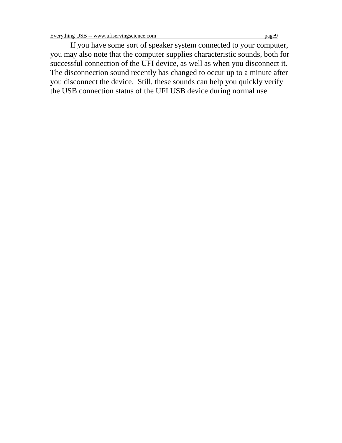If you have some sort of speaker system connected to your computer, you may also note that the computer supplies characteristic sounds, both for successful connection of the UFI device, as well as when you disconnect it. The disconnection sound recently has changed to occur up to a minute after you disconnect the device. Still, these sounds can help you quickly verify the USB connection status of the UFI USB device during normal use.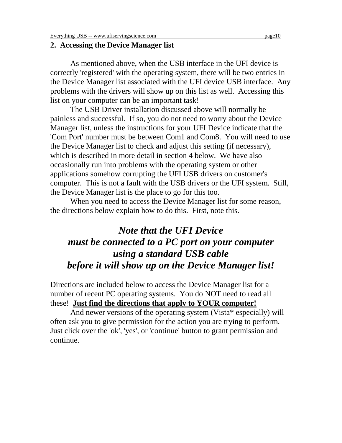#### **2. Accessing the Device Manager list**

As mentioned above, when the USB interface in the UFI device is correctly 'registered' with the operating system, there will be two entries in the Device Manager list associated with the UFI device USB interface. Any problems with the drivers will show up on this list as well. Accessing this list on your computer can be an important task!

The USB Driver installation discussed above will normally be painless and successful. If so, you do not need to worry about the Device Manager list, unless the instructions for your UFI Device indicate that the 'Com Port' number must be between Com1 and Com8. You will need to use the Device Manager list to check and adjust this setting (if necessary), which is described in more detail in section 4 below. We have also occasionally run into problems with the operating system or other applications somehow corrupting the UFI USB drivers on customer's computer. This is not a fault with the USB drivers or the UFI system. Still, the Device Manager list is the place to go for this too.

When you need to access the Device Manager list for some reason, the directions below explain how to do this. First, note this.

# *Note that the UFI Device must be connected to a PC port on your computer using a standard USB cable before it will show up on the Device Manager list!*

Directions are included below to access the Device Manager list for a number of recent PC operating systems. You do NOT need to read all these! **Just find the directions that apply to YOUR computer!**

And newer versions of the operating system (Vista\* especially) will often ask you to give permission for the action you are trying to perform. Just click over the 'ok', 'yes', or 'continue' button to grant permission and continue.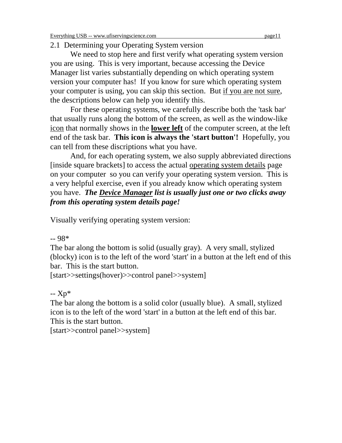## 2.1 Determining your Operating System version

We need to stop here and first verify what operating system version you are using. This is very important, because accessing the Device Manager list varies substantially depending on which operating system version your computer has! If you know for sure which operating system your computer is using, you can skip this section. But if you are not sure, the descriptions below can help you identify this.

For these operating systems, we carefully describe both the 'task bar' that usually runs along the bottom of the screen, as well as the window-like icon that normally shows in the **lower left** of the computer screen, at the left end of the task bar. **This icon is always the 'start button'!** Hopefully, you can tell from these discriptions what you have.

And, for each operating system, we also supply abbreviated directions [inside square brackets] to access the actual operating system details page on your computer so you can verify your operating system version. This is a very helpful exercise, even if you already know which operating system you have. *The Device Manager list is usually just one or two clicks away from this operating system details page!*

Visually verifying operating system version:

-- 98\*

The bar along the bottom is solid (usually gray). A very small, stylized (blocky) icon is to the left of the word 'start' in a button at the left end of this bar. This is the start button.

[start>>settings(hover)>>control panel>>system]

-- Xp\*

The bar along the bottom is a solid color (usually blue). A small, stylized icon is to the left of the word 'start' in a button at the left end of this bar. This is the start button.

[start>>control panel>>system]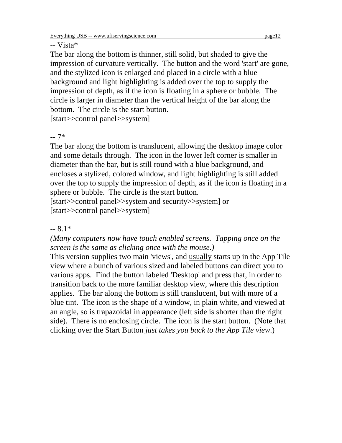#### -- Vista\*

The bar along the bottom is thinner, still solid, but shaded to give the impression of curvature vertically. The button and the word 'start' are gone, and the stylized icon is enlarged and placed in a circle with a blue background and light highlighting is added over the top to supply the impression of depth, as if the icon is floating in a sphere or bubble. The circle is larger in diameter than the vertical height of the bar along the bottom. The circle is the start button.

[start>>control panel>>system]

-- 7\*

The bar along the bottom is translucent, allowing the desktop image color and some details through. The icon in the lower left corner is smaller in diameter than the bar, but is still round with a blue background, and encloses a stylized, colored window, and light highlighting is still added over the top to supply the impression of depth, as if the icon is floating in a sphere or bubble. The circle is the start button.

[start>>control panel>>system and security>>system] or [start>>control panel>>system]

## $-8.1*$

*(Many computers now have touch enabled screens. Tapping once on the screen is the same as clicking once with the mouse.)*

This version supplies two main 'views', and usually starts up in the App Tile view where a bunch of various sized and labeled buttons can direct you to various apps. Find the button labeled 'Desktop' and press that, in order to transition back to the more familiar desktop view, where this description applies. The bar along the bottom is still translucent, but with more of a blue tint. The icon is the shape of a window, in plain white, and viewed at an angle, so is trapazoidal in appearance (left side is shorter than the right side). There is no enclosing circle. The icon is the start button. (Note that clicking over the Start Button *just takes you back to the App Tile view*.)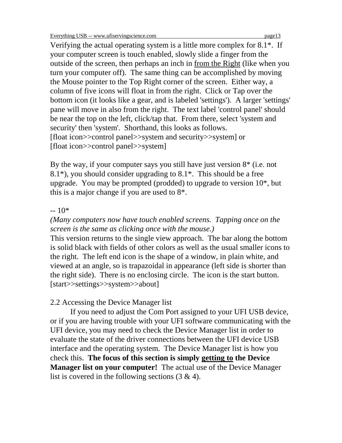Verifying the actual operating system is a little more complex for 8.1\*. If your computer screen is touch enabled, slowly slide a finger from the outside of the screen, then perhaps an inch in from the Right (like when you turn your computer off). The same thing can be accomplished by moving the Mouse pointer to the Top Right corner of the screen. Either way, a column of five icons will float in from the right. Click or Tap over the bottom icon (it looks like a gear, and is labeled 'settings'). A larger 'settings' pane will move in also from the right. The text label 'control panel' should be near the top on the left, click/tap that. From there, select 'system and security' then 'system'. Shorthand, this looks as follows. [float icon>>control panel>>system and security>>system] or [float icon>>control panel>>system]

By the way, if your computer says you still have just version  $8<sup>*</sup>$  (i.e. not  $8.1^*$ ), you should consider upgrading to  $8.1^*$ . This should be a free upgrade. You may be prompted (prodded) to upgrade to version 10\*, but this is a major change if you are used to 8\*.

## $-10*$

# *(Many computers now have touch enabled screens. Tapping once on the screen is the same as clicking once with the mouse.)*

This version returns to the single view approach. The bar along the bottom is solid black with fields of other colors as well as the usual smaller icons to the right. The left end icon is the shape of a window, in plain white, and viewed at an angle, so is trapazoidal in appearance (left side is shorter than the right side). There is no enclosing circle. The icon is the start button. [start>>settings>>system>>about]

# 2.2 Accessing the Device Manager list

If you need to adjust the Com Port assigned to your UFI USB device, or if you are having trouble with your UFI software communicating with the UFI device, you may need to check the Device Manager list in order to evaluate the state of the driver connections between the UFI device USB interface and the operating system. The Device Manager list is how you check this. **The focus of this section is simply getting to the Device Manager list on your computer!** The actual use of the Device Manager list is covered in the following sections  $(3 \& 4)$ .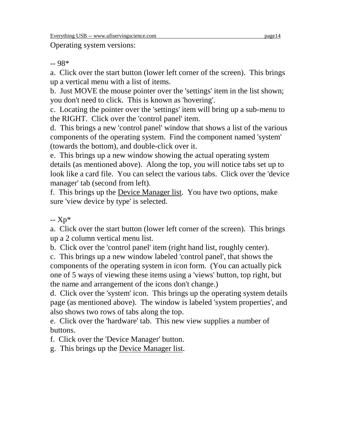Operating system versions:

-- 98\*

a. Click over the start button (lower left corner of the screen). This brings up a vertical menu with a list of items.

b. Just MOVE the mouse pointer over the 'settings' item in the list shown; you don't need to click. This is known as 'hovering'.

c. Locating the pointer over the 'settings' item will bring up a sub-menu to the RIGHT. Click over the 'control panel' item.

d. This brings a new 'control panel' window that shows a list of the various components of the operating system. Find the component named 'system' (towards the bottom), and double-click over it.

e. This brings up a new window showing the actual operating system details (as mentioned above). Along the top, you will notice tabs set up to look like a card file. You can select the various tabs. Click over the 'device manager' tab (second from left).

f. This brings up the Device Manager list. You have two options, make sure 'view device by type' is selected.

-- Xp\*

a. Click over the start button (lower left corner of the screen). This brings up a 2 column vertical menu list.

b. Click over the 'control panel' item (right hand list, roughly center).

c. This brings up a new window labeled 'control panel', that shows the components of the operating system in icon form. (You can actually pick one of 5 ways of viewing these items using a 'views' button, top right, but the name and arrangement of the icons don't change.)

d. Click over the 'system' icon. This brings up the operating system details page (as mentioned above). The window is labeled 'system properties', and also shows two rows of tabs along the top.

e. Click over the 'hardware' tab. This new view supplies a number of buttons.

f. Click over the 'Device Manager' button.

g. This brings up the Device Manager list.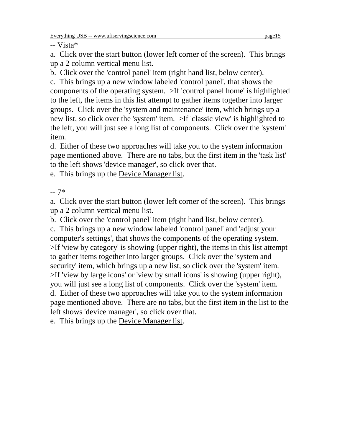-- Vista\*

a. Click over the start button (lower left corner of the screen). This brings up a 2 column vertical menu list.

b. Click over the 'control panel' item (right hand list, below center).

c. This brings up a new window labeled 'control panel', that shows the components of the operating system. >If 'control panel home' is highlighted to the left, the items in this list attempt to gather items together into larger groups. Click over the 'system and maintenance' item, which brings up a new list, so click over the 'system' item. >If 'classic view' is highlighted to the left, you will just see a long list of components. Click over the 'system' item.

d. Either of these two approaches will take you to the system information page mentioned above. There are no tabs, but the first item in the 'task list' to the left shows 'device manager', so click over that.

e. This brings up the Device Manager list.

-- 7\*

a. Click over the start button (lower left corner of the screen). This brings up a 2 column vertical menu list.

b. Click over the 'control panel' item (right hand list, below center).

c. This brings up a new window labeled 'control panel' and 'adjust your computer's settings', that shows the components of the operating system. >If 'view by category' is showing (upper right), the items in this list attempt to gather items together into larger groups. Click over the 'system and security' item, which brings up a new list, so click over the 'system' item. >If 'view by large icons' or 'view by small icons' is showing (upper right), you will just see a long list of components. Click over the 'system' item. d. Either of these two approaches will take you to the system information page mentioned above. There are no tabs, but the first item in the list to the left shows 'device manager', so click over that.

e. This brings up the Device Manager list.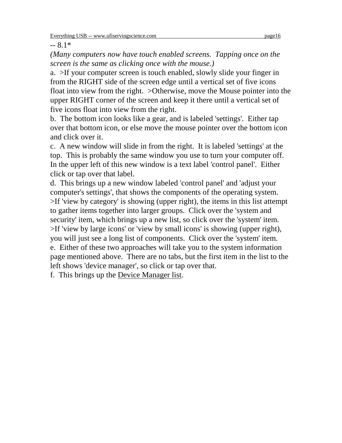$-8.1*$ 

*(Many computers now have touch enabled screens. Tapping once on the screen is the same as clicking once with the mouse.)*

a. >If your computer screen is touch enabled, slowly slide your finger in from the RIGHT side of the screen edge until a vertical set of five icons float into view from the right. >Otherwise, move the Mouse pointer into the upper RIGHT corner of the screen and keep it there until a vertical set of five icons float into view from the right.

b. The bottom icon looks like a gear, and is labeled 'settings'. Either tap over that bottom icon, or else move the mouse pointer over the bottom icon and click over it.

c. A new window will slide in from the right. It is labeled 'settings' at the top. This is probably the same window you use to turn your computer off. In the upper left of this new window is a text label 'control panel'. Either click or tap over that label.

d. This brings up a new window labeled 'control panel' and 'adjust your computer's settings', that shows the components of the operating system. >If 'view by category' is showing (upper right), the items in this list attempt to gather items together into larger groups. Click over the 'system and security' item, which brings up a new list, so click over the 'system' item. >If 'view by large icons' or 'view by small icons' is showing (upper right), you will just see a long list of components. Click over the 'system' item. e. Either of these two approaches will take you to the system information page mentioned above. There are no tabs, but the first item in the list to the left shows 'device manager', so click or tap over that.

f. This brings up the Device Manager list.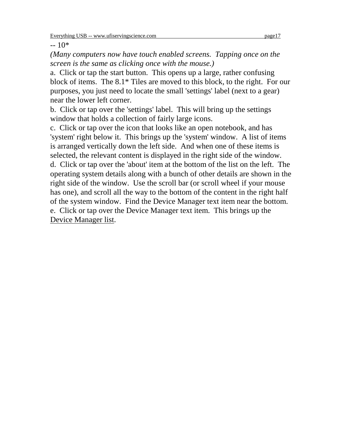$-10*$ 

*(Many computers now have touch enabled screens. Tapping once on the screen is the same as clicking once with the mouse.)*

a. Click or tap the start button. This opens up a large, rather confusing block of items. The 8.1\* Tiles are moved to this block, to the right. For our purposes, you just need to locate the small 'settings' label (next to a gear) near the lower left corner.

b. Click or tap over the 'settings' label. This will bring up the settings window that holds a collection of fairly large icons.

c. Click or tap over the icon that looks like an open notebook, and has 'system' right below it. This brings up the 'system' window. A list of items is arranged vertically down the left side. And when one of these items is selected, the relevant content is displayed in the right side of the window. d. Click or tap over the 'about' item at the bottom of the list on the left. The operating system details along with a bunch of other details are shown in the right side of the window. Use the scroll bar (or scroll wheel if your mouse has one), and scroll all the way to the bottom of the content in the right half of the system window. Find the Device Manager text item near the bottom. e. Click or tap over the Device Manager text item. This brings up the Device Manager list.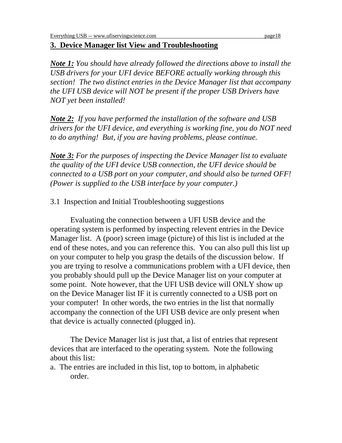# **3. Device Manager list View and Troubleshooting**

*Note 1: You should have already followed the directions above to install the USB drivers for your UFI device BEFORE actually working through this section! The two distinct entries in the Device Manager list that accompany the UFI USB device will NOT be present if the proper USB Drivers have NOT yet been installed!*

*Note 2: If you have performed the installation of the software and USB drivers for the UFI device, and everything is working fine, you do NOT need to do anything! But, if you are having problems, please continue.*

*Note 3: For the purposes of inspecting the Device Manager list to evaluate the quality of the UFI device USB connection, the UFI device should be connected to a USB port on your computer, and should also be turned OFF! (Power is supplied to the USB interface by your computer.)*

3.1 Inspection and Initial Troubleshooting suggestions

Evaluating the connection between a UFI USB device and the operating system is performed by inspecting relevent entries in the Device Manager list. A (poor) screen image (picture) of this list is included at the end of these notes, and you can reference this. You can also pull this list up on your computer to help you grasp the details of the discussion below. If you are trying to resolve a communications problem with a UFI device, then you probably should pull up the Device Manager list on your computer at some point. Note however, that the UFI USB device will ONLY show up on the Device Manager list IF it is currently connected to a USB port on your computer! In other words, the two entries in the list that normally accompany the connection of the UFI USB device are only present when that device is actually connected (plugged in).

The Device Manager list is just that, a list of entries that represent devices that are interfaced to the operating system. Note the following about this list:

a. The entries are included in this list, top to bottom, in alphabetic order.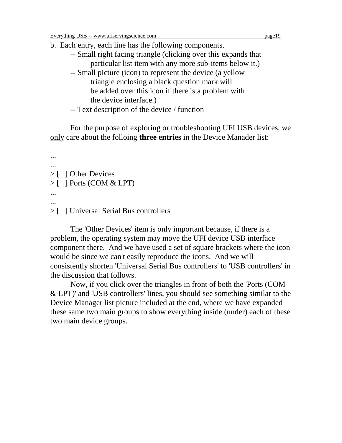b. Each entry, each line has the following components.

- -- Small right facing triangle (clicking over this expands that particular list item with any more sub-items below it.)
- -- Small picture (icon) to represent the device (a yellow triangle enclosing a black question mark will be added over this icon if there is a problem with the device interface.)
- -- Text description of the device / function

For the purpose of exploring or troubleshooting UFI USB devices, we only care about the folloing **three entries** in the Device Manader list:

```
...
...
> [ ] Other Devices
> [ ] Ports (COM & LPT)
...
...
```
## > [ ] Universal Serial Bus controllers

The 'Other Devices' item is only important because, if there is a problem, the operating system may move the UFI device USB interface component there. And we have used a set of square brackets where the icon would be since we can't easily reproduce the icons. And we will consistently shorten 'Universal Serial Bus controllers' to 'USB controllers' in the discussion that follows.

Now, if you click over the triangles in front of both the 'Ports (COM & LPT)' and 'USB controllers' lines, you should see something similar to the Device Manager list picture included at the end, where we have expanded these same two main groups to show everything inside (under) each of these two main device groups.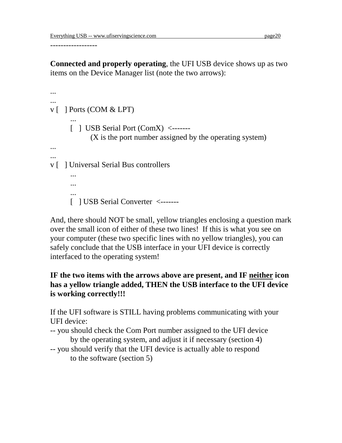------------------

**Connected and properly operating**, the UFI USB device shows up as two items on the Device Manager list (note the two arrows):

```
...
...
v [ ] Ports (COM & LPT)
      ...
      [ ] USB Serial Port (ComX) <-------
             (X is the port number assigned by the operating system)
...
...
v [ ] Universal Serial Bus controllers
      ...
      ...
      ...
      [ ] USB Serial Converter <-------
```
And, there should NOT be small, yellow triangles enclosing a question mark over the small icon of either of these two lines! If this is what you see on your computer (these two specific lines with no yellow triangles), you can safely conclude that the USB interface in your UFI device is correctly interfaced to the operating system!

# **IF the two items with the arrows above are present, and IF neither icon has a yellow triangle added, THEN the USB interface to the UFI device is working correctly!!!**

If the UFI software is STILL having problems communicating with your UFI device:

- -- you should check the Com Port number assigned to the UFI device by the operating system, and adjust it if necessary (section 4)
- -- you should verify that the UFI device is actually able to respond to the software (section 5)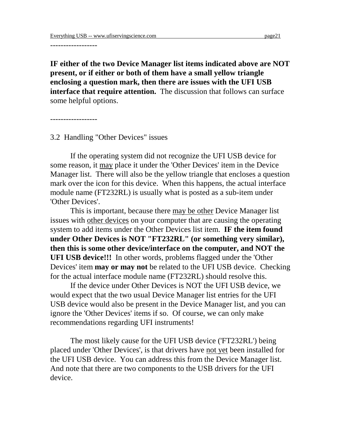------------------

**IF either of the two Device Manager list items indicated above are NOT present, or if either or both of them have a small yellow triangle enclosing a question mark, then there are issues with the UFI USB interface that require attention.** The discussion that follows can surface some helpful options.

------------------

3.2 Handling "Other Devices" issues

If the operating system did not recognize the UFI USB device for some reason, it may place it under the 'Other Devices' item in the Device Manager list. There will also be the yellow triangle that encloses a question mark over the icon for this device. When this happens, the actual interface module name (FT232RL) is usually what is posted as a sub-item under 'Other Devices'.

This is important, because there may be other Device Manager list issues with other devices on your computer that are causing the operating system to add items under the Other Devices list item. **IF the item found under Other Devices is NOT "FT232RL" (or something very similar), then this is some other device/interface on the computer, and NOT the UFI USB device!!!** In other words, problems flagged under the 'Other Devices' item **may or may not** be related to the UFI USB device. Checking for the actual interface module name (FT232RL) should resolve this.

If the device under Other Devices is NOT the UFI USB device, we would expect that the two usual Device Manager list entries for the UFI USB device would also be present in the Device Manager list, and you can ignore the 'Other Devices' items if so. Of course, we can only make recommendations regarding UFI instruments!

The most likely cause for the UFI USB device ('FT232RL') being placed under 'Other Devices', is that drivers have not yet been installed for the UFI USB device. You can address this from the Device Manager list. And note that there are two components to the USB drivers for the UFI device.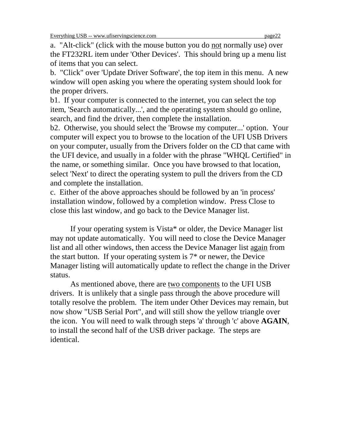a. "Alt-click" (click with the mouse button you do not normally use) over the FT232RL item under 'Other Devices'. This should bring up a menu list of items that you can select.

b. "Click" over 'Update Driver Software', the top item in this menu. A new window will open asking you where the operating system should look for the proper drivers.

b1. If your computer is connected to the internet, you can select the top item, 'Search automatically...', and the operating system should go online, search, and find the driver, then complete the installation.

b2. Otherwise, you should select the 'Browse my computer...' option. Your computer will expect you to browse to the location of the UFI USB Drivers on your computer, usually from the Drivers folder on the CD that came with the UFI device, and usually in a folder with the phrase "WHQL Certified" in the name, or something similar. Once you have browsed to that location, select 'Next' to direct the operating system to pull the drivers from the CD and complete the installation.

c. Either of the above approaches should be followed by an 'in process' installation window, followed by a completion window. Press Close to close this last window, and go back to the Device Manager list.

If your operating system is Vista\* or older, the Device Manager list may not update automatically. You will need to close the Device Manager list and all other windows, then access the Device Manager list again from the start button. If your operating system is 7\* or newer, the Device Manager listing will automatically update to reflect the change in the Driver status.

As mentioned above, there are two components to the UFI USB drivers. It is unlikely that a single pass through the above procedure will totally resolve the problem. The item under Other Devices may remain, but now show "USB Serial Port", and will still show the yellow triangle over the icon. You will need to walk through steps 'a' through 'c' above **AGAIN**, to install the second half of the USB driver package. The steps are identical.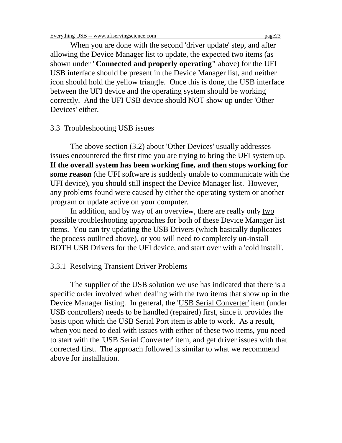When you are done with the second 'driver update' step, and after allowing the Device Manager list to update, the expected two items (as shown under "**Connected and properly operating"** above) for the UFI USB interface should be present in the Device Manager list, and neither icon should hold the yellow triangle. Once this is done, the USB interface between the UFI device and the operating system should be working correctly. And the UFI USB device should NOT show up under 'Other Devices' either.

#### 3.3 Troubleshooting USB issues

The above section (3.2) about 'Other Devices' usually addresses issues encountered the first time you are trying to bring the UFI system up. **If the overall system has been working fine, and then stops working for some reason** (the UFI software is suddenly unable to communicate with the UFI device), you should still inspect the Device Manager list. However, any problems found were caused by either the operating system or another program or update active on your computer.

In addition, and by way of an overview, there are really only two possible troubleshooting approaches for both of these Device Manager list items. You can try updating the USB Drivers (which basically duplicates the process outlined above), or you will need to completely un-install BOTH USB Drivers for the UFI device, and start over with a 'cold install'.

#### 3.3.1 Resolving Transient Driver Problems

The supplier of the USB solution we use has indicated that there is a specific order involved when dealing with the two items that show up in the Device Manager listing. In general, the 'USB Serial Converter' item (under USB controllers) needs to be handled (repaired) first, since it provides the basis upon which the USB Serial Port item is able to work. As a result, when you need to deal with issues with either of these two items, you need to start with the 'USB Serial Converter' item, and get driver issues with that corrected first. The approach followed is similar to what we recommend above for installation.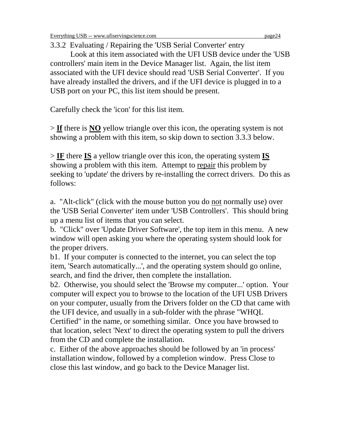3.3.2 Evaluating / Repairing the 'USB Serial Converter' entry

Look at this item associated with the UFI USB device under the 'USB controllers' main item in the Device Manager list. Again, the list item associated with the UFI device should read 'USB Serial Converter'. If you have already installed the drivers, and if the UFI device is plugged in to a USB port on your PC, this list item should be present.

Carefully check the 'icon' for this list item.

> **If** there is **NO** yellow triangle over this icon, the operating system is not showing a problem with this item, so skip down to section 3.3.3 below.

> **IF** there **IS** a yellow triangle over this icon, the operating system **IS** showing a problem with this item. Attempt to repair this problem by seeking to 'update' the drivers by re-installing the correct drivers. Do this as follows:

a. "Alt-click" (click with the mouse button you do not normally use) over the 'USB Serial Converter' item under 'USB Controllers'. This should bring up a menu list of items that you can select.

b. "Click" over 'Update Driver Software', the top item in this menu. A new window will open asking you where the operating system should look for the proper drivers.

b1. If your computer is connected to the internet, you can select the top item, 'Search automatically...', and the operating system should go online, search, and find the driver, then complete the installation.

b2. Otherwise, you should select the 'Browse my computer...' option. Your computer will expect you to browse to the location of the UFI USB Drivers on your computer, usually from the Drivers folder on the CD that came with the UFI device, and usually in a sub-folder with the phrase "WHQL Certified" in the name, or something similar. Once you have browsed to

that location, select 'Next' to direct the operating system to pull the drivers from the CD and complete the installation.

c. Either of the above approaches should be followed by an 'in process' installation window, followed by a completion window. Press Close to close this last window, and go back to the Device Manager list.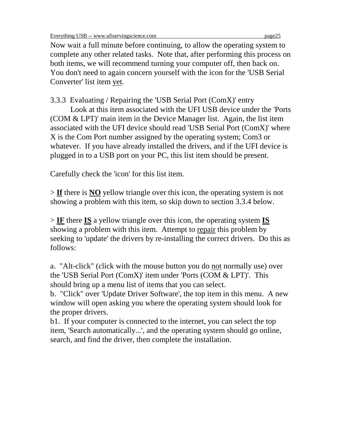Now wait a full minute before continuing, to allow the operating system to complete any other related tasks. Note that, after performing this process on both items, we will recommend turning your computer off, then back on. You don't need to again concern yourself with the icon for the 'USB Serial Converter' list item yet.

3.3.3 Evaluating / Repairing the 'USB Serial Port (ComX)' entry

Look at this item associated with the UFI USB device under the 'Ports (COM & LPT)' main item in the Device Manager list. Again, the list item associated with the UFI device should read 'USB Serial Port (ComX)' where X is the Com Port number assigned by the operating system; Com3 or whatever. If you have already installed the drivers, and if the UFI device is plugged in to a USB port on your PC, this list item should be present.

Carefully check the 'icon' for this list item.

> **If** there is **NO** yellow triangle over this icon, the operating system is not showing a problem with this item, so skip down to section 3.3.4 below.

> **IF** there **IS** a yellow triangle over this icon, the operating system **IS** showing a problem with this item. Attempt to repair this problem by seeking to 'update' the drivers by re-installing the correct drivers. Do this as follows:

a. "Alt-click" (click with the mouse button you do not normally use) over the 'USB Serial Port (ComX)' item under 'Ports (COM & LPT)'. This should bring up a menu list of items that you can select.

b. "Click" over 'Update Driver Software', the top item in this menu. A new window will open asking you where the operating system should look for the proper drivers.

b1. If your computer is connected to the internet, you can select the top item, 'Search automatically...', and the operating system should go online, search, and find the driver, then complete the installation.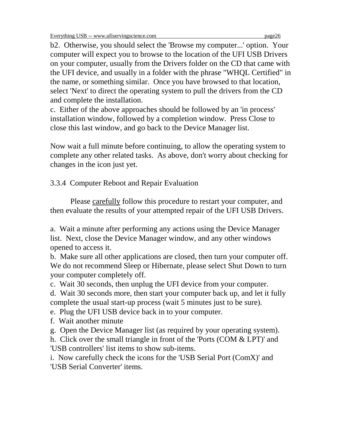b2. Otherwise, you should select the 'Browse my computer...' option. Your computer will expect you to browse to the location of the UFI USB Drivers on your computer, usually from the Drivers folder on the CD that came with the UFI device, and usually in a folder with the phrase "WHQL Certified" in the name, or something similar. Once you have browsed to that location, select 'Next' to direct the operating system to pull the drivers from the CD and complete the installation.

c. Either of the above approaches should be followed by an 'in process' installation window, followed by a completion window. Press Close to close this last window, and go back to the Device Manager list.

Now wait a full minute before continuing, to allow the operating system to complete any other related tasks. As above, don't worry about checking for changes in the icon just yet.

3.3.4 Computer Reboot and Repair Evaluation

Please carefully follow this procedure to restart your computer, and then evaluate the results of your attempted repair of the UFI USB Drivers.

a. Wait a minute after performing any actions using the Device Manager list. Next, close the Device Manager window, and any other windows opened to access it.

b. Make sure all other applications are closed, then turn your computer off. We do not recommend Sleep or Hibernate, please select Shut Down to turn your computer completely off.

c. Wait 30 seconds, then unplug the UFI device from your computer.

d. Wait 30 seconds more, then start your computer back up, and let it fully complete the usual start-up process (wait 5 minutes just to be sure).

e. Plug the UFI USB device back in to your computer.

f. Wait another minute

g. Open the Device Manager list (as required by your operating system).

h. Click over the small triangle in front of the 'Ports (COM & LPT)' and 'USB controllers' list items to show sub-items.

i. Now carefully check the icons for the 'USB Serial Port (ComX)' and 'USB Serial Converter' items.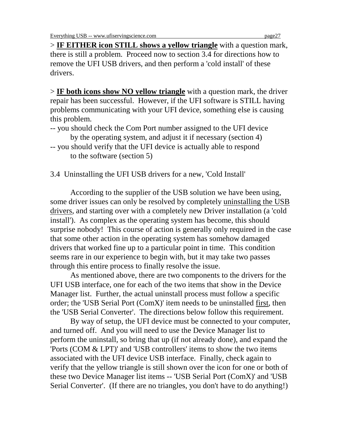Everything USB -- www.ufiservingscience.com page27

> **IF EITHER icon STILL shows a yellow triangle** with a question mark, there is still a problem. Proceed now to section 3.4 for directions how to remove the UFI USB drivers, and then perform a 'cold install' of these drivers.

> **IF both icons show NO yellow triangle** with a question mark, the driver repair has been successful. However, if the UFI software is STILL having problems communicating with your UFI device, something else is causing this problem.

-- you should check the Com Port number assigned to the UFI device by the operating system, and adjust it if necessary (section 4)

3.4 Uninstalling the UFI USB drivers for a new, 'Cold Install'

According to the supplier of the USB solution we have been using, some driver issues can only be resolved by completely uninstalling the USB drivers, and starting over with a completely new Driver installation (a 'cold install'). As complex as the operating system has become, this should surprise nobody! This course of action is generally only required in the case that some other action in the operating system has somehow damaged drivers that worked fine up to a particular point in time. This condition seems rare in our experience to begin with, but it may take two passes through this entire process to finally resolve the issue.

As mentioned above, there are two components to the drivers for the UFI USB interface, one for each of the two items that show in the Device Manager list. Further, the actual uninstall process must follow a specific order; the 'USB Serial Port (ComX)' item needs to be uninstalled first, then the 'USB Serial Converter'. The directions below follow this requirement.

By way of setup, the UFI device must be connected to your computer, and turned off. And you will need to use the Device Manager list to perform the uninstall, so bring that up (if not already done), and expand the 'Ports (COM & LPT)' and 'USB controllers' items to show the two items associated with the UFI device USB interface. Finally, check again to verify that the yellow triangle is still shown over the icon for one or both of these two Device Manager list items -- 'USB Serial Port (ComX)' and 'USB Serial Converter'. (If there are no triangles, you don't have to do anything!)

<sup>--</sup> you should verify that the UFI device is actually able to respond to the software (section 5)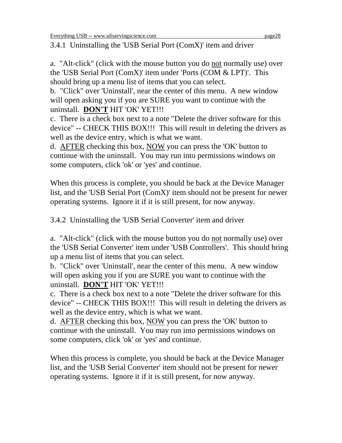3.4.1 Uninstalling the 'USB Serial Port (ComX)' item and driver

a. "Alt-click" (click with the mouse button you do not normally use) over the 'USB Serial Port (ComX)' item under 'Ports (COM & LPT)'. This should bring up a menu list of items that you can select.

b. "Click" over 'Uninstall', near the center of this menu. A new window will open asking you if you are SURE you want to continue with the uninstall. **DON'T** HIT 'OK' YET!!!

c. There is a check box next to a note "Delete the driver software for this device" -- CHECK THIS BOX!!! This will result in deleting the drivers as well as the device entry, which is what we want.

d. AFTER checking this box, NOW you can press the 'OK' button to continue with the uninstall. You may run into permissions windows on some computers, click 'ok' or 'yes' and continue.

When this process is complete, you should be back at the Device Manager list, and the 'USB Serial Port (ComX)' item should not be present for newer operating systems. Ignore it if it is still present, for now anyway.

3.4.2 Uninstalling the 'USB Serial Converter' item and driver

a. "Alt-click" (click with the mouse button you do not normally use) over the 'USB Serial Converter' item under 'USB Controllers'. This should bring up a menu list of items that you can select.

b. "Click" over 'Uninstall', near the center of this menu. A new window will open asking you if you are SURE you want to continue with the uninstall. **DON'T** HIT 'OK' YET!!!

c. There is a check box next to a note "Delete the driver software for this device" -- CHECK THIS BOX!!! This will result in deleting the drivers as well as the device entry, which is what we want.

d. AFTER checking this box, NOW you can press the 'OK' button to continue with the uninstall. You may run into permissions windows on some computers, click 'ok' or 'yes' and continue.

When this process is complete, you should be back at the Device Manager list, and the 'USB Serial Converter' item should not be present for newer operating systems. Ignore it if it is still present, for now anyway.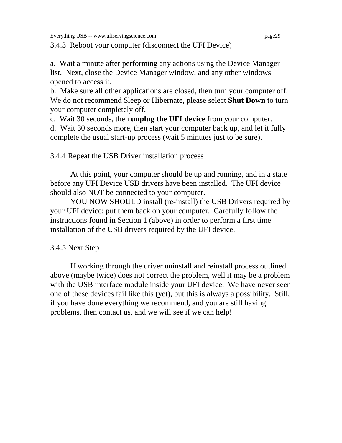3.4.3 Reboot your computer (disconnect the UFI Device)

a. Wait a minute after performing any actions using the Device Manager list. Next, close the Device Manager window, and any other windows opened to access it.

b. Make sure all other applications are closed, then turn your computer off. We do not recommend Sleep or Hibernate, please select **Shut Down** to turn your computer completely off.

c. Wait 30 seconds, then **unplug the UFI device** from your computer.

d. Wait 30 seconds more, then start your computer back up, and let it fully complete the usual start-up process (wait 5 minutes just to be sure).

3.4.4 Repeat the USB Driver installation process

At this point, your computer should be up and running, and in a state before any UFI Device USB drivers have been installed. The UFI device should also NOT be connected to your computer.

YOU NOW SHOULD install (re-install) the USB Drivers required by your UFI device; put them back on your computer. Carefully follow the instructions found in Section 1 (above) in order to perform a first time installation of the USB drivers required by the UFI device.

# 3.4.5 Next Step

If working through the driver uninstall and reinstall process outlined above (maybe twice) does not correct the problem, well it may be a problem with the USB interface module inside your UFI device. We have never seen one of these devices fail like this (yet), but this is always a possibility. Still, if you have done everything we recommend, and you are still having problems, then contact us, and we will see if we can help!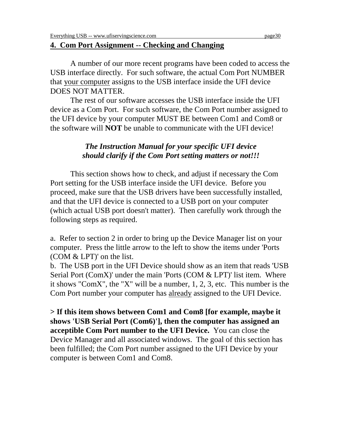#### **4. Com Port Assignment -- Checking and Changing**

A number of our more recent programs have been coded to access the USB interface directly. For such software, the actual Com Port NUMBER that your computer assigns to the USB interface inside the UFI device DOES NOT MATTER.

The rest of our software accesses the USB interface inside the UFI device as a Com Port. For such software, the Com Port number assigned to the UFI device by your computer MUST BE between Com1 and Com8 or the software will **NOT** be unable to communicate with the UFI device!

#### *The Instruction Manual for your specific UFI device should clarify if the Com Port setting matters or not!!!*

This section shows how to check, and adjust if necessary the Com Port setting for the USB interface inside the UFI device. Before you proceed, make sure that the USB drivers have been successfully installed, and that the UFI device is connected to a USB port on your computer (which actual USB port doesn't matter). Then carefully work through the following steps as required.

a. Refer to section 2 in order to bring up the Device Manager list on your computer. Press the little arrow to the left to show the items under 'Ports (COM & LPT)' on the list.

b. The USB port in the UFI Device should show as an item that reads 'USB Serial Port (ComX)' under the main 'Ports (COM & LPT)' list item. Where it shows "ComX", the "X" will be a number, 1, 2, 3, etc. This number is the Com Port number your computer has already assigned to the UFI Device.

**> If this item shows between Com1 and Com8 [for example, maybe it shows 'USB Serial Port (Com6)'], then the computer has assigned an acceptible Com Port number to the UFI Device.** You can close the Device Manager and all associated windows. The goal of this section has been fulfilled; the Com Port number assigned to the UFI Device by your computer is between Com1 and Com8.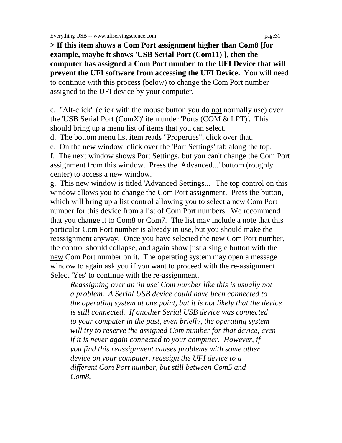**> If this item shows a Com Port assignment higher than Com8 [for example, maybe it shows 'USB Serial Port (Com11)'], then the computer has assigned a Com Port number to the UFI Device that will prevent the UFI software from accessing the UFI Device.** You will need to continue with this process (below) to change the Com Port number assigned to the UFI device by your computer.

c. "Alt-click" (click with the mouse button you do not normally use) over the 'USB Serial Port (ComX)' item under 'Ports (COM & LPT)'. This should bring up a menu list of items that you can select.

d. The bottom menu list item reads "Properties", click over that.

e. On the new window, click over the 'Port Settings' tab along the top.

f. The next window shows Port Settings, but you can't change the Com Port assignment from this window. Press the 'Advanced...' buttom (roughly center) to access a new window.

g. This new window is titled 'Advanced Settings...' The top control on this window allows you to change the Com Port assignment. Press the button, which will bring up a list control allowing you to select a new Com Port number for this device from a list of Com Port numbers. We recommend that you change it to Com8 or Com7. The list may include a note that this particular Com Port number is already in use, but you should make the reassignment anyway. Once you have selected the new Com Port number, the control should collapse, and again show just a single button with the new Com Port number on it. The operating system may open a message window to again ask you if you want to proceed with the re-assignment. Select 'Yes' to continue with the re-assignment.

*Reassigning over an 'in use' Com number like this is usually not a problem. A Serial USB device could have been connected to the operating system at one point, but it is not likely that the device is still connected. If another Serial USB device was connected to your computer in the past, even briefly, the operating system will try to reserve the assigned Com number for that device, even if it is never again connected to your computer. However, if you find this reassignment causes problems with some other device on your computer, reassign the UFI device to a different Com Port number, but still between Com5 and Com8.*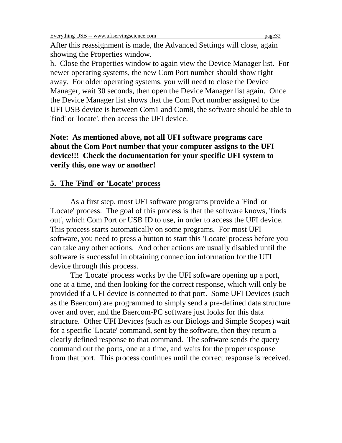After this reassignment is made, the Advanced Settings will close, again showing the Properties window.

h. Close the Properties window to again view the Device Manager list. For newer operating systems, the new Com Port number should show right away. For older operating systems, you will need to close the Device Manager, wait 30 seconds, then open the Device Manager list again. Once the Device Manager list shows that the Com Port number assigned to the UFI USB device is between Com1 and Com8, the software should be able to 'find' or 'locate', then access the UFI device.

**Note: As mentioned above, not all UFI software programs care about the Com Port number that your computer assigns to the UFI device!!! Check the documentation for your specific UFI system to verify this, one way or another!**

#### **5. The 'Find' or 'Locate' process**

As a first step, most UFI software programs provide a 'Find' or 'Locate' process. The goal of this process is that the software knows, 'finds out', which Com Port or USB ID to use, in order to access the UFI device. This process starts automatically on some programs. For most UFI software, you need to press a button to start this 'Locate' process before you can take any other actions. And other actions are usually disabled until the software is successful in obtaining connection information for the UFI device through this process.

The 'Locate' process works by the UFI software opening up a port, one at a time, and then looking for the correct response, which will only be provided if a UFI device is connected to that port. Some UFI Devices (such as the Baercom) are programmed to simply send a pre-defined data structure over and over, and the Baercom-PC software just looks for this data structure. Other UFI Devices (such as our Biologs and Simple Scopes) wait for a specific 'Locate' command, sent by the software, then they return a clearly defined response to that command. The software sends the query command out the ports, one at a time, and waits for the proper response from that port. This process continues until the correct response is received.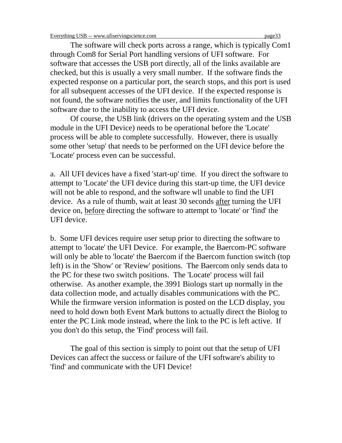The software will check ports across a range, which is typically Com1 through Com8 for Serial Port handling versions of UFI software. For software that accesses the USB port directly, all of the links available are checked, but this is usually a very small number. If the software finds the expected response on a particular port, the search stops, and this port is used for all subsequent accesses of the UFI device. If the expected response is not found, the software notifies the user, and limits functionality of the UFI software due to the inability to access the UFI device.

Of course, the USB link (drivers on the operating system and the USB module in the UFI Device) needs to be operational before the 'Locate' process will be able to complete successfully. However, there is usually some other 'setup' that needs to be performed on the UFI device before the 'Locate' process even can be successful.

a. All UFI devices have a fixed 'start-up' time. If you direct the software to attempt to 'Locate' the UFI device during this start-up time, the UFI device will not be able to respond, and the software wll unable to find the UFI device. As a rule of thumb, wait at least 30 seconds after turning the UFI device on, before directing the software to attempt to 'locate' or 'find' the UFI device.

b. Some UFI devices require user setup prior to directing the software to attempt to 'locate' the UFI Device. For example, the Baercom-PC software will only be able to 'locate' the Baercom if the Baercom function switch (top left) is in the 'Show' or 'Review' positions. The Baercom only sends data to the PC for these two switch positions. The 'Locate' process will fail otherwise. As another example, the 3991 Biologs start up normally in the data collection mode, and actually disables communications with the PC. While the firmware version information is posted on the LCD display, you need to hold down both Event Mark buttons to actually direct the Biolog to enter the PC Link mode instead, where the link to the PC is left active. If you don't do this setup, the 'Find' process will fail.

The goal of this section is simply to point out that the setup of UFI Devices can affect the success or failure of the UFI software's ability to 'find' and communicate with the UFI Device!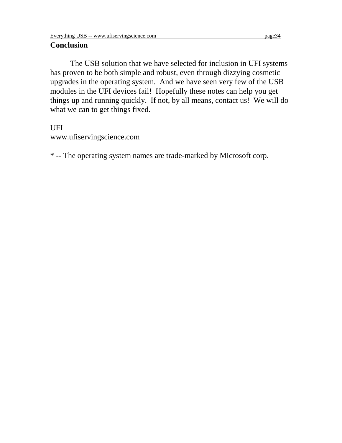#### **Conclusion**

The USB solution that we have selected for inclusion in UFI systems has proven to be both simple and robust, even through dizzying cosmetic upgrades in the operating system. And we have seen very few of the USB modules in the UFI devices fail! Hopefully these notes can help you get things up and running quickly. If not, by all means, contact us! We will do what we can to get things fixed.

#### UFI

www.ufiservingscience.com

\* -- The operating system names are trade-marked by Microsoft corp.